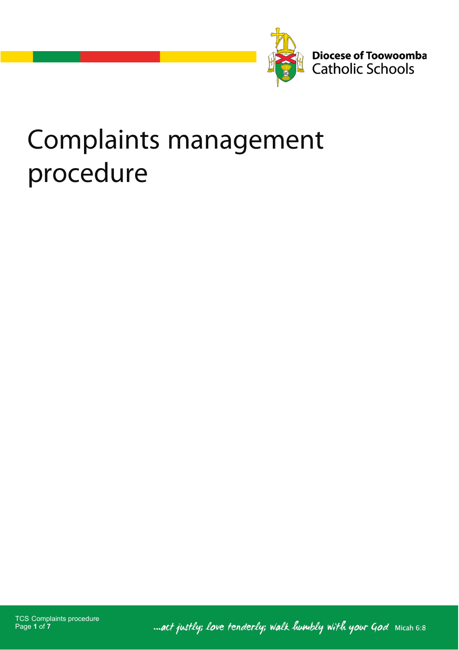

Diocese of Toowoomba<br>Catholic Schools

# **Complaints management** procedure

TCS Complaints procedure Page **1** of **7**

... act justly; love tenderly; walk humbly with your God Micah 6:8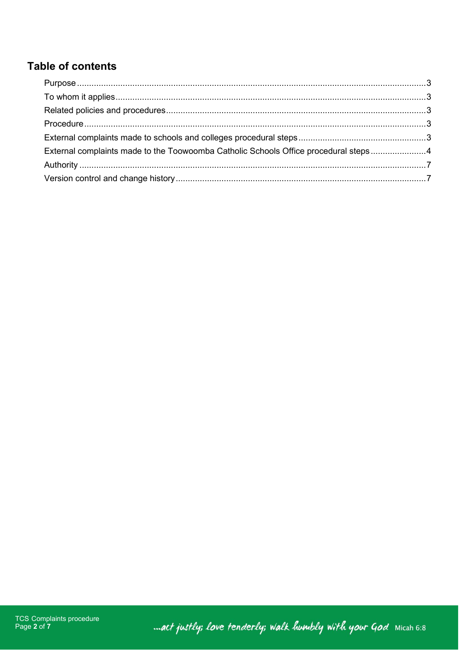# Table of contents

<span id="page-1-0"></span>

| External complaints made to the Toowoomba Catholic Schools Office procedural steps4 |  |
|-------------------------------------------------------------------------------------|--|
|                                                                                     |  |
|                                                                                     |  |

mact justly; love tenderly; walk humbly with your God Micah 6:8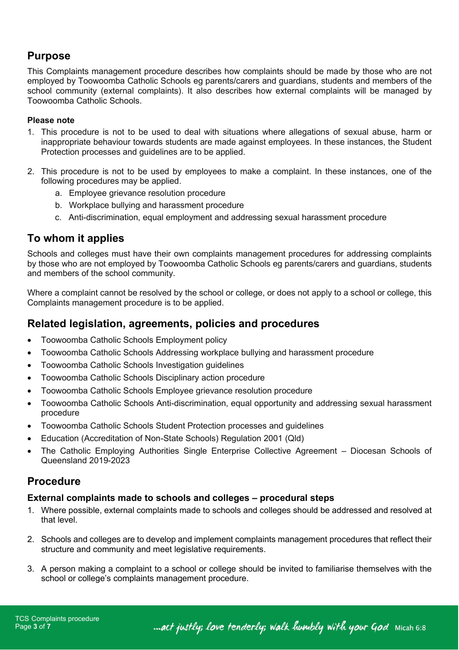# **Purpose**

This Complaints management procedure describes how complaints should be made by those who are not employed by Toowoomba Catholic Schools eg parents/carers and guardians, students and members of the school community (external complaints). It also describes how external complaints will be managed by Toowoomba Catholic Schools.

#### **Please note**

- 1. This procedure is not to be used to deal with situations where allegations of sexual abuse, harm or inappropriate behaviour towards students are made against employees. In these instances, the Student Protection processes and guidelines are to be applied.
- 2. This procedure is not to be used by employees to make a complaint. In these instances, one of the following procedures may be applied.
	- a. Employee grievance resolution procedure
	- b. Workplace bullying and harassment procedure
	- c. Anti-discrimination, equal employment and addressing sexual harassment procedure

# <span id="page-2-0"></span>**To whom it applies**

Schools and colleges must have their own complaints management procedures for addressing complaints by those who are not employed by Toowoomba Catholic Schools eg parents/carers and guardians, students and members of the school community.

Where a complaint cannot be resolved by the school or college, or does not apply to a school or college, this Complaints management procedure is to be applied.

# <span id="page-2-1"></span>**Related legislation, agreements, policies and procedures**

- Toowoomba Catholic Schools Employment policy
- Toowoomba Catholic Schools Addressing workplace bullying and harassment procedure
- Toowoomba Catholic Schools Investigation guidelines
- Toowoomba Catholic Schools Disciplinary action procedure
- Toowoomba Catholic Schools Employee grievance resolution procedure
- Toowoomba Catholic Schools Anti-discrimination, equal opportunity and addressing sexual harassment procedure
- Toowoomba Catholic Schools Student Protection processes and guidelines
- Education (Accreditation of Non-State Schools) Regulation 2001 (Qld)
- The Catholic Employing Authorities Single Enterprise Collective Agreement Diocesan Schools of Queensland 2019-2023

# <span id="page-2-2"></span>**Procedure**

#### <span id="page-2-3"></span>**External complaints made to schools and colleges – procedural steps**

- 1. Where possible, external complaints made to schools and colleges should be addressed and resolved at that level.
- 2. Schools and colleges are to develop and implement complaints management procedures that reflect their structure and community and meet legislative requirements.
- 3. A person making a complaint to a school or college should be invited to familiarise themselves with the school or college's complaints management procedure.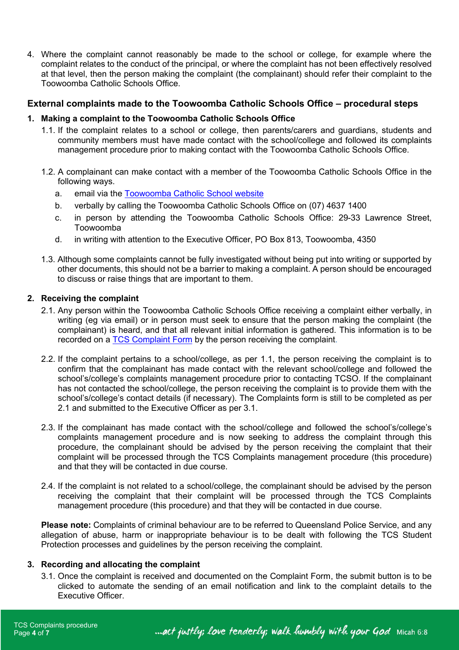4. Where the complaint cannot reasonably be made to the school or college, for example where the complaint relates to the conduct of the principal, or where the complaint has not been effectively resolved at that level, then the person making the complaint (the complainant) should refer their complaint to the Toowoomba Catholic Schools Office.

#### <span id="page-3-0"></span>**External complaints made to the Toowoomba Catholic Schools Office – procedural steps**

#### **1. Making a complaint to the Toowoomba Catholic Schools Office**

- 1.1. If the complaint relates to a school or college, then parents/carers and guardians, students and community members must have made contact with the school/college and followed its complaints management procedure prior to making contact with the Toowoomba Catholic Schools Office.
- 1.2. A complainant can make contact with a member of the Toowoomba Catholic Schools Office in the following ways.
	- a. email via the [Toowoomba Catholic School website](http://www.twb.catholic.edu.au/)
	- b. verbally by calling the Toowoomba Catholic Schools Office on (07) 4637 1400
	- c. in person by attending the Toowoomba Catholic Schools Office: 29-33 Lawrence Street, Toowoomba
	- d. in writing with attention to the Executive Officer, PO Box 813, Toowoomba, 4350
- 1.3. Although some complaints cannot be fully investigated without being put into writing or supported by other documents, this should not be a barrier to making a complaint. A person should be encouraged to discuss or raise things that are important to them.

#### **2. Receiving the complaint**

- 2.1. Any person within the Toowoomba Catholic Schools Office receiving a complaint either verbally, in writing (eg via email) or in person must seek to ensure that the person making the complaint (the complainant) is heard, and that all relevant initial information is gathered. This information is to be recorded on a [TCS Complaint Form](https://forms.office.com/Pages/ResponsePage.aspx?id=_f1LV0RCBUK3EBaPWwxYDbcfEW0SyMJEm_dBR1wM4bhUNUxORlNRRkk0WThFTjhLTkNRQUZZWFhFMiQlQCN0PWcu&fswReload=1&fswNavStart=1628217308669) by the person receiving the complaint.
- 2.2. If the complaint pertains to a school/college, as per 1.1, the person receiving the complaint is to confirm that the complainant has made contact with the relevant school/college and followed the school's/college's complaints management procedure prior to contacting TCSO. If the complainant has not contacted the school/college, the person receiving the complaint is to provide them with the school's/college's contact details (if necessary). The Complaints form is still to be completed as per 2.1 and submitted to the Executive Officer as per 3.1.
- 2.3. If the complainant has made contact with the school/college and followed the school's/college's complaints management procedure and is now seeking to address the complaint through this procedure, the complainant should be advised by the person receiving the complaint that their complaint will be processed through the TCS Complaints management procedure (this procedure) and that they will be contacted in due course.
- 2.4. If the complaint is not related to a school/college, the complainant should be advised by the person receiving the complaint that their complaint will be processed through the TCS Complaints management procedure (this procedure) and that they will be contacted in due course.

**Please note:** Complaints of criminal behaviour are to be referred to Queensland Police Service, and any allegation of abuse, harm or inappropriate behaviour is to be dealt with following the TCS Student Protection processes and guidelines by the person receiving the complaint.

#### **3. Recording and allocating the complaint**

3.1. Once the complaint is received and documented on the Complaint Form, the submit button is to be clicked to automate the sending of an email notification and link to the complaint details to the Executive Officer.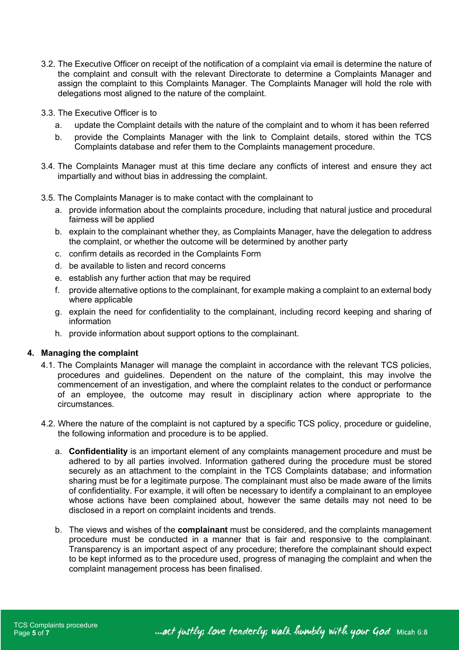- 3.2. The Executive Officer on receipt of the notification of a complaint via email is determine the nature of the complaint and consult with the relevant Directorate to determine a Complaints Manager and assign the complaint to this Complaints Manager. The Complaints Manager will hold the role with delegations most aligned to the nature of the complaint.
- 3.3. The Executive Officer is to
	- a. update the Complaint details with the nature of the complaint and to whom it has been referred
	- b. provide the Complaints Manager with the link to Complaint details, stored within the TCS Complaints database and refer them to the Complaints management procedure.
- 3.4. The Complaints Manager must at this time declare any conflicts of interest and ensure they act impartially and without bias in addressing the complaint.
- 3.5. The Complaints Manager is to make contact with the complainant to
	- a. provide information about the complaints procedure, including that natural justice and procedural fairness will be applied
	- b. explain to the complainant whether they, as Complaints Manager, have the delegation to address the complaint, or whether the outcome will be determined by another party
	- c. confirm details as recorded in the Complaints Form
	- d. be available to listen and record concerns
	- e. establish any further action that may be required
	- f. provide alternative options to the complainant, for example making a complaint to an external body where applicable
	- g. explain the need for confidentiality to the complainant, including record keeping and sharing of information
	- h. provide information about support options to the complainant.

#### **4. Managing the complaint**

- 4.1. The Complaints Manager will manage the complaint in accordance with the relevant TCS policies, procedures and guidelines. Dependent on the nature of the complaint, this may involve the commencement of an investigation, and where the complaint relates to the conduct or performance of an employee, the outcome may result in disciplinary action where appropriate to the circumstances.
- 4.2. Where the nature of the complaint is not captured by a specific TCS policy, procedure or guideline, the following information and procedure is to be applied.
	- a. **Confidentiality** is an important element of any complaints management procedure and must be adhered to by all parties involved. Information gathered during the procedure must be stored securely as an attachment to the complaint in the TCS Complaints database; and information sharing must be for a legitimate purpose. The complainant must also be made aware of the limits of confidentiality. For example, it will often be necessary to identify a complainant to an employee whose actions have been complained about, however the same details may not need to be disclosed in a report on complaint incidents and trends.
	- b. The views and wishes of the **complainant** must be considered, and the complaints management procedure must be conducted in a manner that is fair and responsive to the complainant. Transparency is an important aspect of any procedure; therefore the complainant should expect to be kept informed as to the procedure used, progress of managing the complaint and when the complaint management process has been finalised.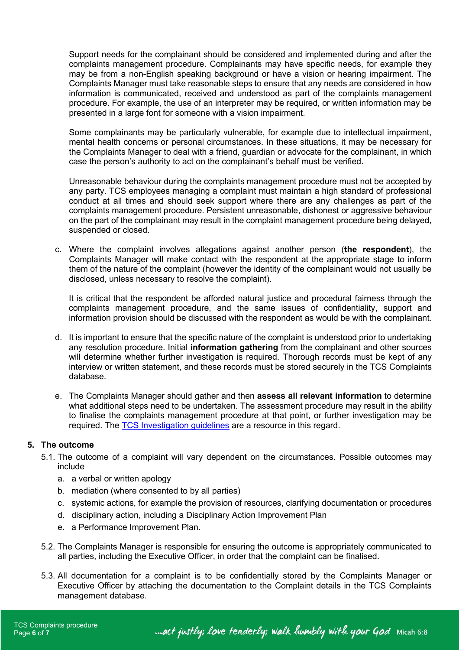Support needs for the complainant should be considered and implemented during and after the complaints management procedure. Complainants may have specific needs, for example they may be from a non-English speaking background or have a vision or hearing impairment. The Complaints Manager must take reasonable steps to ensure that any needs are considered in how information is communicated, received and understood as part of the complaints management procedure. For example, the use of an interpreter may be required, or written information may be presented in a large font for someone with a vision impairment.

Some complainants may be particularly vulnerable, for example due to intellectual impairment, mental health concerns or personal circumstances. In these situations, it may be necessary for the Complaints Manager to deal with a friend, guardian or advocate for the complainant, in which case the person's authority to act on the complainant's behalf must be verified.

Unreasonable behaviour during the complaints management procedure must not be accepted by any party. TCS employees managing a complaint must maintain a high standard of professional conduct at all times and should seek support where there are any challenges as part of the complaints management procedure. Persistent unreasonable, dishonest or aggressive behaviour on the part of the complainant may result in the complaint management procedure being delayed, suspended or closed.

c. Where the complaint involves allegations against another person (**the respondent**), the Complaints Manager will make contact with the respondent at the appropriate stage to inform them of the nature of the complaint (however the identity of the complainant would not usually be disclosed, unless necessary to resolve the complaint).

It is critical that the respondent be afforded natural justice and procedural fairness through the complaints management procedure, and the same issues of confidentiality, support and information provision should be discussed with the respondent as would be with the complainant.

- d. It is important to ensure that the specific nature of the complaint is understood prior to undertaking any resolution procedure. Initial **information gathering** from the complainant and other sources will determine whether further investigation is required. Thorough records must be kept of any interview or written statement, and these records must be stored securely in the TCS Complaints database.
- e. The Complaints Manager should gather and then **assess all relevant information** to determine what additional steps need to be undertaken. The assessment procedure may result in the ability to finalise the complaints management procedure at that point, or further investigation may be required. The **TCS** Investigation guidelines are a resource in this regard.

#### **5. The outcome**

- 5.1. The outcome of a complaint will vary dependent on the circumstances. Possible outcomes may include
	- a. a verbal or written apology
	- b. mediation (where consented to by all parties)
	- c. systemic actions, for example the provision of resources, clarifying documentation or procedures
	- d. disciplinary action, including a Disciplinary Action Improvement Plan
	- e. a Performance Improvement Plan.
- 5.2. The Complaints Manager is responsible for ensuring the outcome is appropriately communicated to all parties, including the Executive Officer, in order that the complaint can be finalised.
- 5.3. All documentation for a complaint is to be confidentially stored by the Complaints Manager or Executive Officer by attaching the documentation to the Complaint details in the TCS Complaints management database.